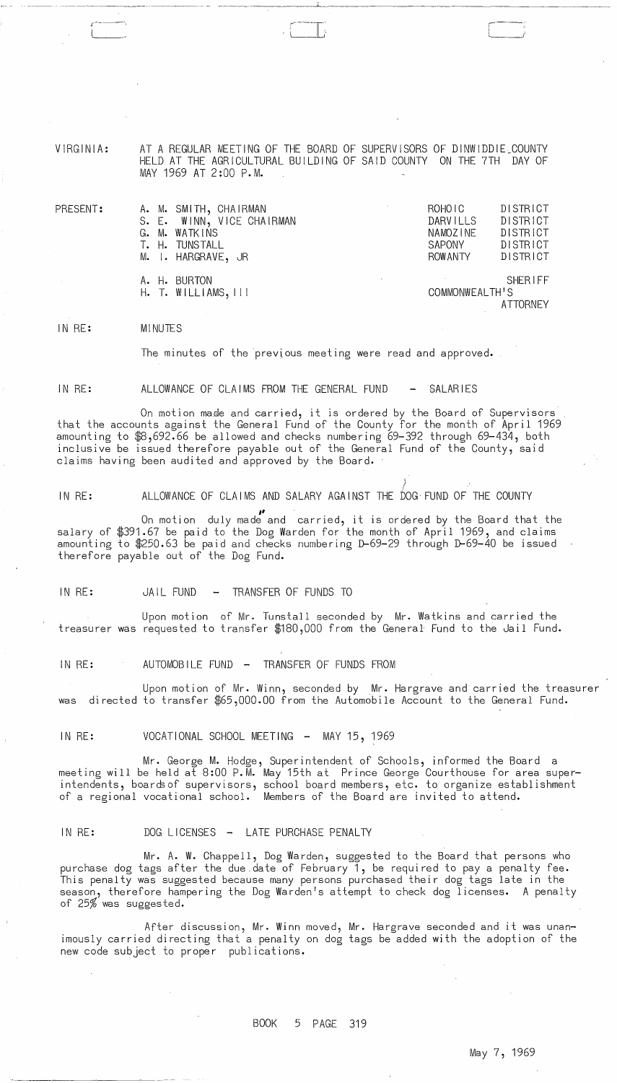VIRGINIA: AT A REGULAR MEETING OF THE BOARD OF SUPERVISORS OF DINWIDDIE\_COUNTY HELD AT THE AGRICULTURAL BUILDING OF SAID COUNTY ON THE 7TH DAY OF MAY 1969 AT 2:00 P.M.

 $\overline{\phantom{a}}$ 

PRESENT: A.M.SMITH, CHAIRMAN ROHOIC DISTRICT<br>S.E.WINN,VICE CHAIRMAN DARVILLS DISTRICT S. E. WINN, VICE CHAIRMAN DARVILLS DISTRICT G. M. WATKINS NAMOZINE DISTRICT T. H. TUNSTALL SAPONY DISTRICT M. I. HARGRAVE, JR A. H. BURTON SHERIFF<br>H. T. WILLIAMS.III SHERIFF SHERIFF  $H.$  T. WILLIAMS,  $111$ ATTORNEY

IN RE: MI NUTES

The minutes of the previous meeting were read and approved.

IN RE: ALLOWANCE OF CLAIMS FROM THE GENERAL FUND - SALARIES

On motion made and carried, it is ordered by the Board of Supervisors that the accounts against the General Fund of the County for the month of April 1969 amounting to \$8,692.66 be allowed and checks numbering 69-392 through 69-434, both inclusive be issued therefore payable out of the General Fund of the County, said claims having been audited and approved by the Board.

) IN RE: ALLOWANCE OF CLAIMS AND SALARY AGAINST THE *bOG* FUND OF THE COUNTY

On motion duly made and carried, it is ordered by the Board that the salary of \$391.67 be paid to the Dog Warden for the month of April 1969, and claims amounting to \$250.63 be paid and checks numbering D-69-29 through D-69-40 be issued therefore payable out of the Dog Fund.

IN RE: JAIL FUND - TRANSFER OF FUNDS TO

Upon motion of Mr. Tunstall seconded by Mr. Watkins and carried the treasurer was requested to transfer \$180,000 from the General Fund to the Jail Fund.

IN RE: AUTOMOBILE FUND - TRANSFER OF FUNDS FROM

Upon motion of Mr. Winn, seconded by Mr. Hargrave and carried the treasurer was directed to transfer \$65,000.00 from the Automobile Account to the General Fund.

IN RE: VOCATIONAL SCHOOL MEETING - MAY 15, 1969

Mr. George M. Hodge, Superintendent of Schools, informed the Board a meeting will be held at 8:00 P.M. May 15th at Prince George Courthouse for area superintendents, boardsof supervisors, school board members, etc. to organize establishment of a regional vocational school. Members of the Board are invited to attend.

IN RE: DOG LICENSES - LATE PURCHASE PENALTY

 $\sim 10^7$ 

Mr. A. W. Chappell, Dog Warden, suggested to the Board that persons who purchase dog tags after the due date of February  $1$ , be required to pay a penalty fee. This penalty was suggested because many persons purchased their dog tags late in the season, therefore hampering the Dog Warden's attempt to check dog licenses. A penalty of 25% was suggested.

After discussion, Mr. Winn moved, Mr. Hargrave seconded and it was unanimously carried directing that a penalty on dog tags be added with the adoption of the new code subject to proper publications.

BOOK 5 PAGE 319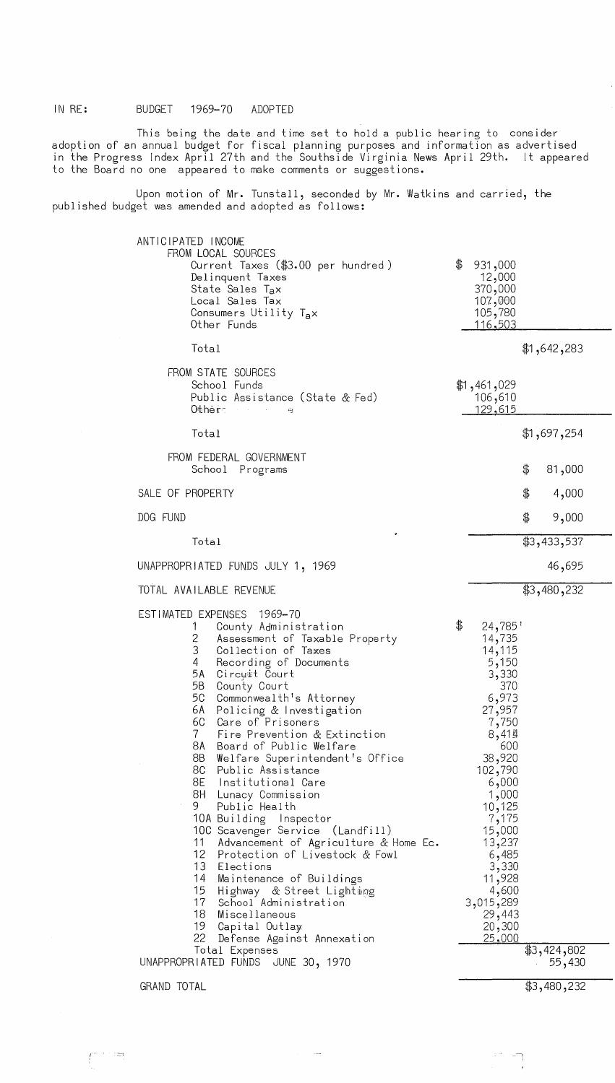This being the date and time set to hold a public hearing to consider adoption of an annual budget for fiscal planning purposes and information as advertised in the Progress Index April 27th and the Southside Virginia News April 29th. It appeared to the Board no one appeared to make comments or suggestions.

Upon motion of Mr. Tunstall, seconded by Mr. Watkins and carried, the published budget was amended and adopted as follows:

| ANTICIPATED INCOME<br>FROM LOCAL SOURCES<br>Current Taxes (\$3.00 per hundred)<br>Delinquent Taxes<br>State Sales Tax<br>Local Sales Tax<br>Consumers Utility Tax<br>Other Funds                                                                                                                                                                                                                                                                                                                                                                                                                                                                                                                                                                                                                                                                                                                                                    | \$<br>931,000<br>12,000<br>370,000<br>107,000<br>105,780<br><u>116,503</u>                                                                                                                                                                                                  |
|-------------------------------------------------------------------------------------------------------------------------------------------------------------------------------------------------------------------------------------------------------------------------------------------------------------------------------------------------------------------------------------------------------------------------------------------------------------------------------------------------------------------------------------------------------------------------------------------------------------------------------------------------------------------------------------------------------------------------------------------------------------------------------------------------------------------------------------------------------------------------------------------------------------------------------------|-----------------------------------------------------------------------------------------------------------------------------------------------------------------------------------------------------------------------------------------------------------------------------|
| Total                                                                                                                                                                                                                                                                                                                                                                                                                                                                                                                                                                                                                                                                                                                                                                                                                                                                                                                               | \$1,642,283                                                                                                                                                                                                                                                                 |
| FROM STATE SOURCES<br>School Funds<br>Public Assistance (State & Fed)<br>Other<br>$\Delta\phi=2\pi\pi/3$ , $\Delta\phi$<br>يته                                                                                                                                                                                                                                                                                                                                                                                                                                                                                                                                                                                                                                                                                                                                                                                                      | \$1,461,029<br>106,610<br><u>129,615</u>                                                                                                                                                                                                                                    |
| Total                                                                                                                                                                                                                                                                                                                                                                                                                                                                                                                                                                                                                                                                                                                                                                                                                                                                                                                               | \$1,697,254                                                                                                                                                                                                                                                                 |
| FROM FEDERAL GOVERNMENT<br>School Programs                                                                                                                                                                                                                                                                                                                                                                                                                                                                                                                                                                                                                                                                                                                                                                                                                                                                                          | 81,000<br>\$                                                                                                                                                                                                                                                                |
| SALE OF PROPERTY                                                                                                                                                                                                                                                                                                                                                                                                                                                                                                                                                                                                                                                                                                                                                                                                                                                                                                                    | \$<br>4,000                                                                                                                                                                                                                                                                 |
| DOG FUND                                                                                                                                                                                                                                                                                                                                                                                                                                                                                                                                                                                                                                                                                                                                                                                                                                                                                                                            | 9,000<br>\$                                                                                                                                                                                                                                                                 |
| Total                                                                                                                                                                                                                                                                                                                                                                                                                                                                                                                                                                                                                                                                                                                                                                                                                                                                                                                               | \$3,433,537                                                                                                                                                                                                                                                                 |
| UNAPPROPRIATED FUNDS JULY 1, 1969                                                                                                                                                                                                                                                                                                                                                                                                                                                                                                                                                                                                                                                                                                                                                                                                                                                                                                   | 46,695                                                                                                                                                                                                                                                                      |
| TOTAL AVAILABLE REVENUE                                                                                                                                                                                                                                                                                                                                                                                                                                                                                                                                                                                                                                                                                                                                                                                                                                                                                                             | \$3,480,232                                                                                                                                                                                                                                                                 |
| ESTIMATED EXPENSES<br>1969–70<br>County Administration<br>T<br>Assessment of Taxable Property<br>$\overline{c}$<br>3<br>Collection of Taxes<br>4<br>Recording of Documents<br>5A<br>Circuit Court<br>5B  <br>County Court<br>5C -<br>Commonwealth's Attorney<br>6A -<br>Policing & Investigation<br>6C<br>Care of Prisoners<br>$7 -$<br>Fire Prevention & Extinction<br>8A<br>Board of Public Welfare<br>8B  <br>Welfare Superintendent's Office<br>8C  <br>Public Assistance<br>8E -<br>Institutional Care<br>8H Lunacy Commission<br>9.<br>Public Health<br>10A Building Inspector<br>10C Scavenger Service (Landfill)<br>Advancement of Agriculture & Home Ec.<br>11<br>12 Protection of Livestock & Fowl<br>13 <sup>7</sup><br>Elections<br>14<br>Maintenance of Buildings<br>15<br>Highway & Street Lighting<br>17<br>School Administration<br>18<br>Miscellaneous<br>19<br>Capital Outlay<br>22<br>Defense Against Annexation | \$<br>24,785'<br>14,735<br>14,115<br>5,150<br>3,330<br>370<br>6,973<br>27,957<br>7,750<br>8,414<br>600<br>38,920<br>102,790<br>6,000<br>1,000<br>10,125<br>7,175<br>15,000<br>13,237<br>6,485<br>3,330<br>11,928<br>4,600<br>3,015,289<br>29,443<br>20,300<br><u>25,000</u> |
| Total Expenses<br>UNAPPROPRIATED FUNDS<br>JUNE 30, 1970                                                                                                                                                                                                                                                                                                                                                                                                                                                                                                                                                                                                                                                                                                                                                                                                                                                                             | \$3,424,802<br>55,430                                                                                                                                                                                                                                                       |

GRAND TOTAL

\$3,480,232

 $\frac{1}{2}$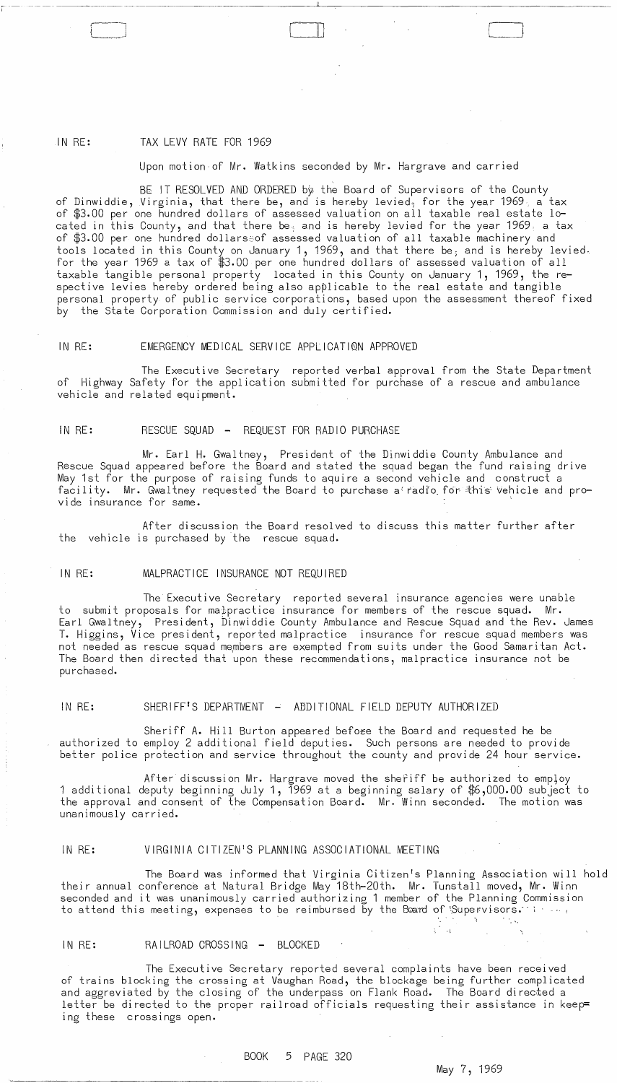# IN RE: TAX LEVY RATE FOR 1969

 $\overline{\phantom{a}}$ 

## Upon motion of Mr. Watkins seconded by Mr. Hargrave and carried

BE IT RESOLVED AND ORDERED by the Board of Supervisors of the County of Dinwiddie, Virginia, that there be, and is hereby levied, for the year 1969, a tax of \$3.00 per one hundred dollars of assessed valuation on all taxable real estate located in this County, and that there be<sub>s</sub> and is hereby levied for the year 1969 a tax of \$3.00 per one hundred dollars~of assessed valuation of all taxable machinery and tools located in this County on January 1, 1969, and that there be, and is hereby levied. for the year 1969 a tax of \$3.00 per one hundred dollars of assessed valuation of all taxable tangible personal property located in this County on January 1, 1969, the respective levies hereby ordered being also applicable to the real estate and tangible personal property of public service corporations, based upon the assessment thereof fixed by the State Corporation Commission and duly certified.

### IN RE: EMERGENCY MEDICAL SERVICE APPLICATI0N APPROVED

The Executive Secretary reported verbal approval from the State Department of Highway Safety for the application submitted for purchase of a rescue and ambulance vehicle and related equipment.

### IN RE: RESCUE SQUAD - REQUEST FOR RADIO PURCHASE

Mr. Earl H. Gwaltney, President of the Dinwiddie County Ambulance and Rescue Squad appeared before the Board and stated the squad began the fund raising drive May 1st for the purpose of raising funds to aquire a second vehicle and construct a facility. Mr. Gwaltney requested the Board to purchase a radio for this vehicle and provide insurance for same.

After discussion the Board resolved to discuss this matter further after the vehicle is purchased by the rescue squad.

### IN RE: MALPRACTICE INSURANCE NOT REQUIRED

The Executive Secretary reported several insurance agencies were unable to submit proposals for mappractice insurance for members of the rescue squad. Mr. Earl Gwaltney, President, Dinwiddie County AmbUlance and Rescue Squad and the Rev. James **T.** Higgins, Vice president, reported malpractice insurance for rescue squad members was not needed as rescue squad me,mbers are exempted from suits under the Good Samaritan Act. The Board then directed that upon these recommendations, malpractice insurance not be purchased.

# IN RE: SHERIFF'S DEPARTMENT - ADDITIONAL FIELD DEPUTY AUTHORIZED

Sheriff A. Hill Burton appeared befo<del>re</del> the Board and requested he be authorized to employ 2 additional field deputies. Such persons are needed to provide better police protection and service throughout the county and provide 24 hour service.

After discussion Mr. Hargrave moved the shefiff be authorized to employ 1 additional deputy beginning July 1, 1969 at a beginning salary of \$6,000.00 subject to the approval and consent of the Compensation Board. Mr. Winn seconded. The motion was unanimously carried. .

### IN RE: VIRGINIA CITIZEN'S PLANNING ASSOCIATIONAL MEETING

The Board was informed that Virginia Citizen's Planning Association will hold their annual conference at Natural Bridge May 18th-20th. Mr. Tunstall moved, Mr. Winn seconded and it was unanimously carried authorizing 1 member of the Planning Commission to attend this meeting, expenses to be reimbursed by the Baard of Supervisors. In  $\ldots$ ,

### IN RE: RAILROAD CROSSING - BLOCKED

The Executive Secretary reported several complaints have been received of trains blocking the crossing at Vaughan Road, the blockage being further complicated and aggreviated by the closing of the underpass on Flank Road. The Board directed a letter be directed to the proper railroad officials requesting their assistance in keep= ing these crossings open.

## BOOK 5 PAGE 320

## May 7, 1969

 $\sim 100$ 

 $\begin{bmatrix} 1 & 1 \\ 1 & 1 \end{bmatrix}$